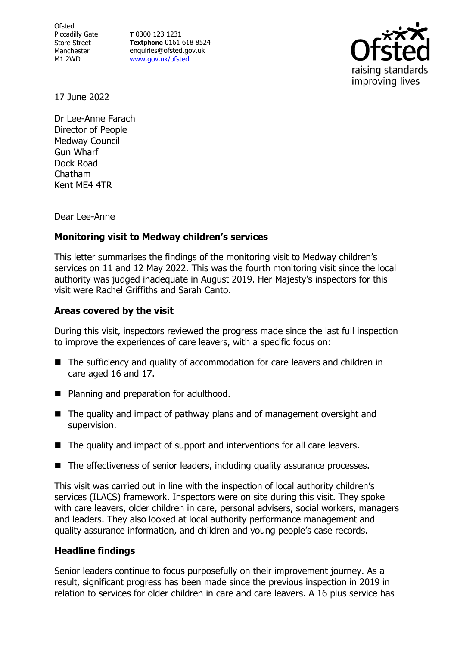**Ofsted** Piccadilly Gate Store Street Manchester M1 2WD

**T** 0300 123 1231 **Textphone** 0161 618 8524 enquiries@ofsted.gov.uk [www.gov.uk/ofsted](http://www.gov.uk/ofsted)



17 June 2022

Dr Lee-Anne Farach Director of People Medway Council Gun Wharf Dock Road Chatham Kent ME4 4TR

Dear Lee-Anne

## **Monitoring visit to Medway children's services**

This letter summarises the findings of the monitoring visit to Medway children's services on 11 and 12 May 2022. This was the fourth monitoring visit since the local authority was judged inadequate in August 2019. Her Majesty's inspectors for this visit were Rachel Griffiths and Sarah Canto.

## **Areas covered by the visit**

During this visit, inspectors reviewed the progress made since the last full inspection to improve the experiences of care leavers, with a specific focus on:

- The sufficiency and quality of accommodation for care leavers and children in care aged 16 and 17.
- Planning and preparation for adulthood.
- The quality and impact of pathway plans and of management oversight and supervision.
- The quality and impact of support and interventions for all care leavers.
- The effectiveness of senior leaders, including quality assurance processes.

This visit was carried out in line with the inspection of local authority children's services (ILACS) framework. Inspectors were on site during this visit. They spoke with care leavers, older children in care, personal advisers, social workers, managers and leaders. They also looked at local authority performance management and quality assurance information, and children and young people's case records.

## **Headline findings**

Senior leaders continue to focus purposefully on their improvement journey. As a result, significant progress has been made since the previous inspection in 2019 in relation to services for older children in care and care leavers. A 16 plus service has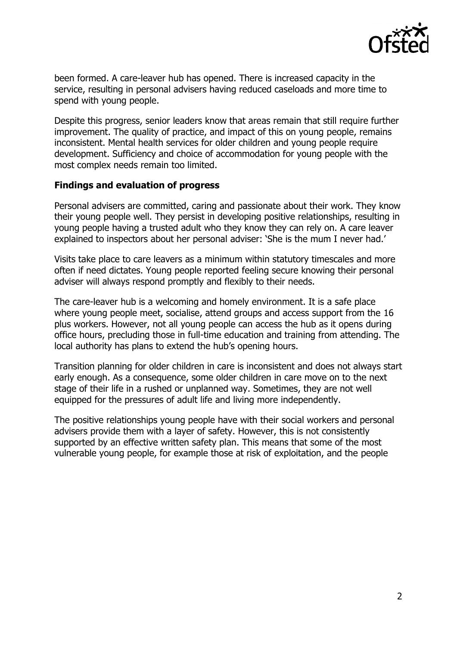

been formed. A care-leaver hub has opened. There is increased capacity in the service, resulting in personal advisers having reduced caseloads and more time to spend with young people.

Despite this progress, senior leaders know that areas remain that still require further improvement. The quality of practice, and impact of this on young people, remains inconsistent. Mental health services for older children and young people require development. Sufficiency and choice of accommodation for young people with the most complex needs remain too limited.

## **Findings and evaluation of progress**

Personal advisers are committed, caring and passionate about their work. They know their young people well. They persist in developing positive relationships, resulting in young people having a trusted adult who they know they can rely on. A care leaver explained to inspectors about her personal adviser: 'She is the mum I never had.'

Visits take place to care leavers as a minimum within statutory timescales and more often if need dictates. Young people reported feeling secure knowing their personal adviser will always respond promptly and flexibly to their needs.

The care-leaver hub is a welcoming and homely environment. It is a safe place where young people meet, socialise, attend groups and access support from the 16 plus workers. However, not all young people can access the hub as it opens during office hours, precluding those in full-time education and training from attending. The local authority has plans to extend the hub's opening hours.

Transition planning for older children in care is inconsistent and does not always start early enough. As a consequence, some older children in care move on to the next stage of their life in a rushed or unplanned way. Sometimes, they are not well equipped for the pressures of adult life and living more independently.

The positive relationships young people have with their social workers and personal advisers provide them with a layer of safety. However, this is not consistently supported by an effective written safety plan. This means that some of the most vulnerable young people, for example those at risk of exploitation, and the people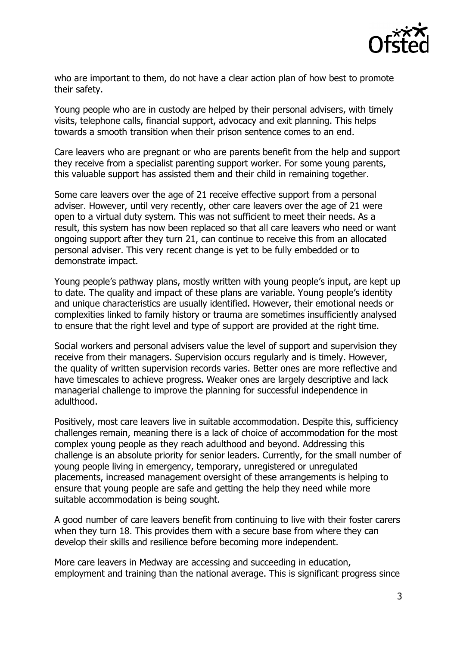

who are important to them, do not have a clear action plan of how best to promote their safety.

Young people who are in custody are helped by their personal advisers, with timely visits, telephone calls, financial support, advocacy and exit planning. This helps towards a smooth transition when their prison sentence comes to an end.

Care leavers who are pregnant or who are parents benefit from the help and support they receive from a specialist parenting support worker. For some young parents, this valuable support has assisted them and their child in remaining together.

Some care leavers over the age of 21 receive effective support from a personal adviser. However, until very recently, other care leavers over the age of 21 were open to a virtual duty system. This was not sufficient to meet their needs. As a result, this system has now been replaced so that all care leavers who need or want ongoing support after they turn 21, can continue to receive this from an allocated personal adviser. This very recent change is yet to be fully embedded or to demonstrate impact.

Young people's pathway plans, mostly written with young people's input, are kept up to date. The quality and impact of these plans are variable. Young people's identity and unique characteristics are usually identified. However, their emotional needs or complexities linked to family history or trauma are sometimes insufficiently analysed to ensure that the right level and type of support are provided at the right time.

Social workers and personal advisers value the level of support and supervision they receive from their managers. Supervision occurs regularly and is timely. However, the quality of written supervision records varies. Better ones are more reflective and have timescales to achieve progress. Weaker ones are largely descriptive and lack managerial challenge to improve the planning for successful independence in adulthood.

Positively, most care leavers live in suitable accommodation. Despite this, sufficiency challenges remain, meaning there is a lack of choice of accommodation for the most complex young people as they reach adulthood and beyond. Addressing this challenge is an absolute priority for senior leaders. Currently, for the small number of young people living in emergency, temporary, unregistered or unregulated placements, increased management oversight of these arrangements is helping to ensure that young people are safe and getting the help they need while more suitable accommodation is being sought.

A good number of care leavers benefit from continuing to live with their foster carers when they turn 18. This provides them with a secure base from where they can develop their skills and resilience before becoming more independent.

More care leavers in Medway are accessing and succeeding in education, employment and training than the national average. This is significant progress since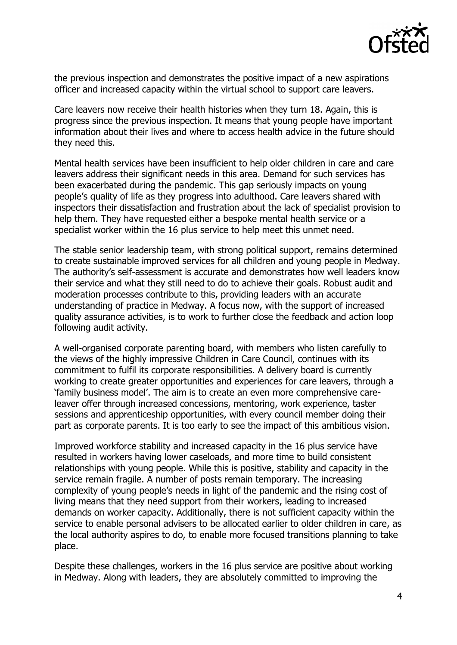

the previous inspection and demonstrates the positive impact of a new aspirations officer and increased capacity within the virtual school to support care leavers.

Care leavers now receive their health histories when they turn 18. Again, this is progress since the previous inspection. It means that young people have important information about their lives and where to access health advice in the future should they need this.

Mental health services have been insufficient to help older children in care and care leavers address their significant needs in this area. Demand for such services has been exacerbated during the pandemic. This gap seriously impacts on young people's quality of life as they progress into adulthood. Care leavers shared with inspectors their dissatisfaction and frustration about the lack of specialist provision to help them. They have requested either a bespoke mental health service or a specialist worker within the 16 plus service to help meet this unmet need.

The stable senior leadership team, with strong political support, remains determined to create sustainable improved services for all children and young people in Medway. The authority's self-assessment is accurate and demonstrates how well leaders know their service and what they still need to do to achieve their goals. Robust audit and moderation processes contribute to this, providing leaders with an accurate understanding of practice in Medway. A focus now, with the support of increased quality assurance activities, is to work to further close the feedback and action loop following audit activity.

A well-organised corporate parenting board, with members who listen carefully to the views of the highly impressive Children in Care Council, continues with its commitment to fulfil its corporate responsibilities. A delivery board is currently working to create greater opportunities and experiences for care leavers, through a 'family business model'. The aim is to create an even more comprehensive careleaver offer through increased concessions, mentoring, work experience, taster sessions and apprenticeship opportunities, with every council member doing their part as corporate parents. It is too early to see the impact of this ambitious vision.

Improved workforce stability and increased capacity in the 16 plus service have resulted in workers having lower caseloads, and more time to build consistent relationships with young people. While this is positive, stability and capacity in the service remain fragile. A number of posts remain temporary. The increasing complexity of young people's needs in light of the pandemic and the rising cost of living means that they need support from their workers, leading to increased demands on worker capacity. Additionally, there is not sufficient capacity within the service to enable personal advisers to be allocated earlier to older children in care, as the local authority aspires to do, to enable more focused transitions planning to take place.

Despite these challenges, workers in the 16 plus service are positive about working in Medway. Along with leaders, they are absolutely committed to improving the